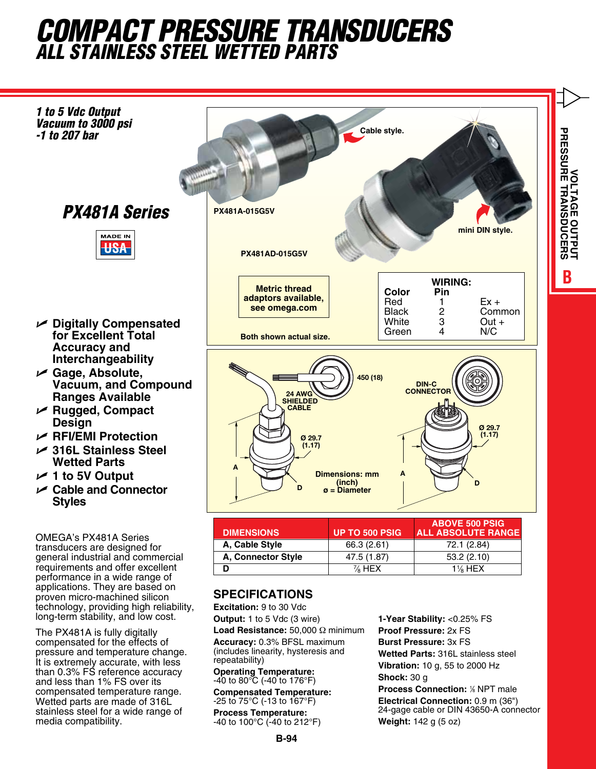## *COMPACT Pressure Transducers ALL Stainless Steel Wetted Parts*



## **SPECIFICATIONS**

proven micro-machined silicon technology, providing high reliability, long-term stability, and low cost. The PX481A is fully digitally compensated for the effects of pressure and temperature change. It is extremely accurate, with less than 0.3% FS reference accuracy and less than 1% FS over its compensated temperature range. Wetted parts are made of 316L stainless steel for a wide range of

media compatibility.

**Excitation:** 9 to 30 Vdc **Output:** 1 to 5 Vdc (3 wire) **Load Resistance:** 50,000 Ω minimum **Accuracy:** 0.3% BFSL maximum (includes linearity, hysteresis and repeatability) **Operating Temperature:**

-40 to 80°C (-40 to 176°F) **Compensated Temperature:**

-25 to 75°C (-13 to 167°F)

**Process Temperature:** -40 to 100°C (-40 to 212°F)

**1-Year Stability:** <0.25% FS **Proof Pressure:** 2x FS **Burst Pressure:** 3x FS **Wetted Parts:** 316L stainless steel **Vibration:** 10 g, 55 to 2000 Hz **Shock:** 30 g **Process Connection: % NPT male Electrical Connection:** 0.9 m (36") 24-gage cable or DIN 43650-A connector **Weight:** 142 g (5 oz)